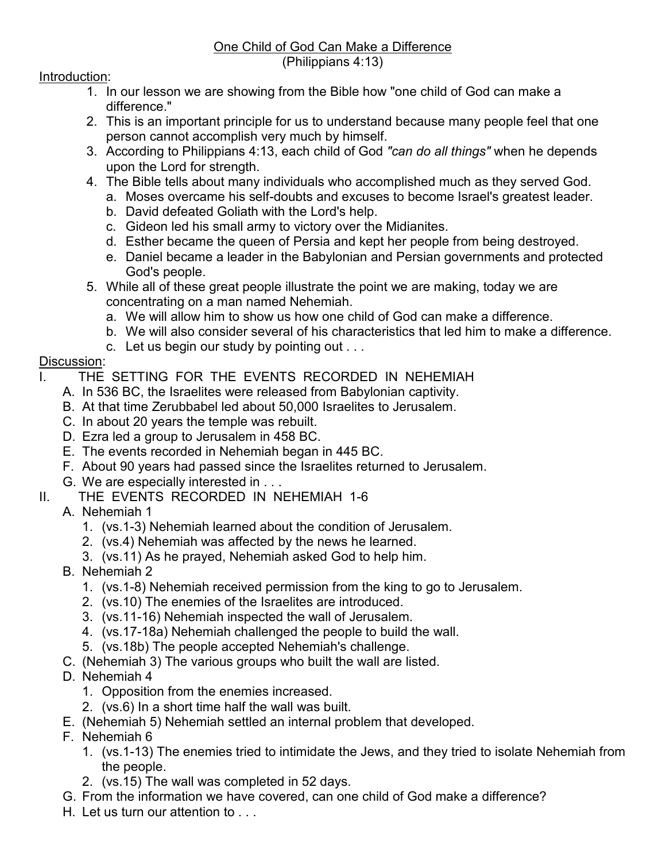#### One Child of God Can Make a Difference (Philippians 4:13)

### Introduction:

- 1. In our lesson we are showing from the Bible how "one child of God can make a difference."
- 2. This is an important principle for us to understand because many people feel that one person cannot accomplish very much by himself.
- 3. According to Philippians 4:13, each child of God *"can do all things"* when he depends upon the Lord for strength.
- 4. The Bible tells about many individuals who accomplished much as they served God.
	- a. Moses overcame his self-doubts and excuses to become Israel's greatest leader.
	- b. David defeated Goliath with the Lord's help.
	- c. Gideon led his small army to victory over the Midianites.
	- d. Esther became the queen of Persia and kept her people from being destroyed.
	- e. Daniel became a leader in the Babylonian and Persian governments and protected God's people.
- 5. While all of these great people illustrate the point we are making, today we are concentrating on a man named Nehemiah.
	- a. We will allow him to show us how one child of God can make a difference.
	- b. We will also consider several of his characteristics that led him to make a difference.
	- c. Let us begin our study by pointing out . . .

# Discussion:

- I. THE SETTING FOR THE EVENTS RECORDED IN NEHEMIAH
	- A. In 536 BC, the Israelites were released from Babylonian captivity.
	- B. At that time Zerubbabel led about 50,000 Israelites to Jerusalem.
	- C. In about 20 years the temple was rebuilt.
	- D. Ezra led a group to Jerusalem in 458 BC.
	- E. The events recorded in Nehemiah began in 445 BC.
	- F. About 90 years had passed since the Israelites returned to Jerusalem.
	- G. We are especially interested in . . .
- II. THE EVENTS RECORDED IN NEHEMIAH 1-6
	- A. Nehemiah 1
		- 1. (vs.1-3) Nehemiah learned about the condition of Jerusalem.
		- 2. (vs.4) Nehemiah was affected by the news he learned.
		- 3. (vs.11) As he prayed, Nehemiah asked God to help him.
	- B. Nehemiah 2
		- 1. (vs.1-8) Nehemiah received permission from the king to go to Jerusalem.
		- 2. (vs.10) The enemies of the Israelites are introduced.
		- 3. (vs.11-16) Nehemiah inspected the wall of Jerusalem.
		- 4. (vs.17-18a) Nehemiah challenged the people to build the wall.
		- 5. (vs.18b) The people accepted Nehemiah's challenge.
	- C. (Nehemiah 3) The various groups who built the wall are listed.
	- D. Nehemiah 4
		- 1. Opposition from the enemies increased.
		- 2. (vs.6) In a short time half the wall was built.
	- E. (Nehemiah 5) Nehemiah settled an internal problem that developed.
	- F. Nehemiah 6
		- 1. (vs.1-13) The enemies tried to intimidate the Jews, and they tried to isolate Nehemiah from the people.
		- 2. (vs.15) The wall was completed in 52 days.
	- G. From the information we have covered, can one child of God make a difference?
	- H. Let us turn our attention to . . .